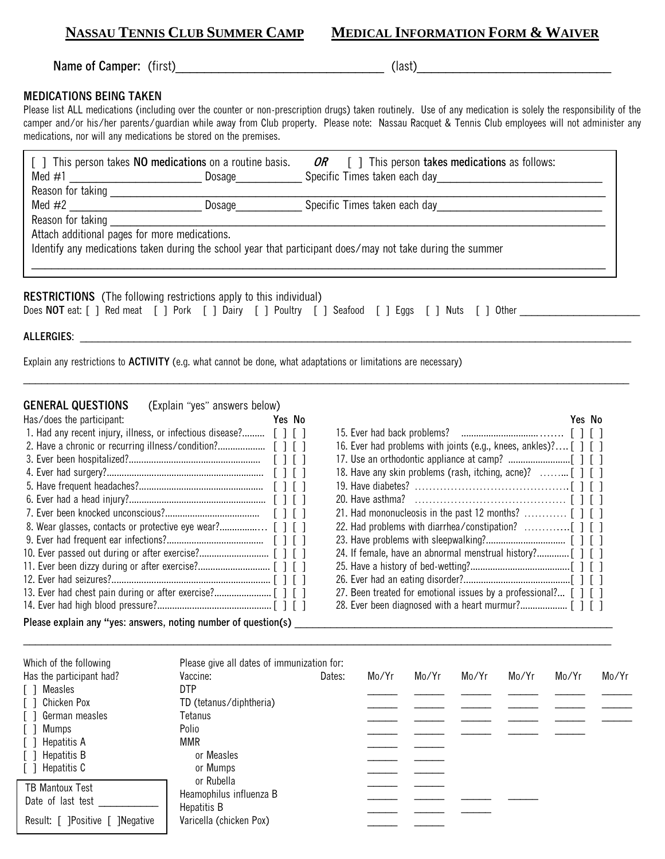**NASSAU TENNIS CLUB SUMMER CAMP** 

| <b>MEDICAL INFORMATION FORM &amp; WAIVER</b> |  |
|----------------------------------------------|--|
|----------------------------------------------|--|

**Name of Camper:** (first)\_\_\_\_\_\_\_\_\_\_\_\_\_\_\_\_\_\_\_\_\_\_\_\_\_\_\_\_\_ (last)\_\_\_\_\_\_\_\_\_\_\_\_\_\_\_\_\_\_\_\_\_\_\_\_\_\_\_

## **MEDICATIONS BEING TAKEN**

Please list ALL medications (including over the counter or non-prescription drugs) taken routinely. Use of any medication is solely the responsibility of the camper and/or his/her parents/guardian while away from Club property. Please note: Nassau Racquet & Tennis Club employees will not administer any medications, nor will any medications be stored on the premises.

| Med $\#1$                                     | [] This person takes <b>NO medications</b> on a routine basis.<br>Dosage  | <i>OR</i> $\lceil$ This person takes medications as follows:<br>Specific Times taken each day              |  |
|-----------------------------------------------|---------------------------------------------------------------------------|------------------------------------------------------------------------------------------------------------|--|
| Reason for taking                             |                                                                           |                                                                                                            |  |
|                                               | Dosage strate                                                             | Specific Times taken each day                                                                              |  |
| Reason for taking                             |                                                                           |                                                                                                            |  |
| Attach additional pages for more medications. |                                                                           |                                                                                                            |  |
|                                               |                                                                           | Identify any medications taken during the school year that participant does/may not take during the summer |  |
|                                               |                                                                           |                                                                                                            |  |
|                                               |                                                                           |                                                                                                            |  |
|                                               | <b>RESTRICTIONS</b> (The following restrictions apply to this individual) |                                                                                                            |  |
|                                               | Does NOT eat: [ ] Red meat [ ] Pork [ ] Dairy [ ] Poultry [ ] Seafood [ ] | l Other<br>Eggs<br>Nuts                                                                                    |  |

\_\_\_\_\_\_\_\_\_\_\_\_\_\_\_\_\_\_\_\_\_\_\_\_\_\_\_\_\_\_\_\_\_\_\_\_\_\_\_\_\_\_\_\_\_\_\_\_\_\_\_\_\_\_\_\_\_\_\_\_\_\_\_\_\_\_\_\_\_\_\_\_\_\_\_\_\_\_\_\_\_\_\_\_\_\_\_\_\_\_\_\_\_\_\_\_\_\_\_\_\_

**ALLERGIES**: \_\_\_\_\_\_\_\_\_\_\_\_\_\_\_\_\_\_\_\_\_\_\_\_\_\_\_\_\_\_\_\_\_\_\_\_\_\_\_\_\_\_\_\_\_\_\_\_\_\_\_\_\_\_\_\_\_\_\_\_\_\_\_\_\_\_\_\_\_\_\_\_\_\_\_\_\_\_\_\_\_\_\_\_\_\_\_\_\_\_\_\_

Explain any restrictions to **ACTIVITY** (e.g. what cannot be done, what adaptations or limitations are necessary)

## **GENERAL QUESTIONS** (Explain "yes" answers below)

| Has/does the participant:                                         | Yes No                                                         |  |                                                                  | Yes No |  |
|-------------------------------------------------------------------|----------------------------------------------------------------|--|------------------------------------------------------------------|--------|--|
| 1. Had any recent injury, illness, or infectious disease? [ ] [ ] |                                                                |  |                                                                  |        |  |
| 2. Have a chronic or recurring illness/condition?                 | $\lceil$ $\lceil$ $\lceil$ $\lceil$ $\lceil$ $\lceil$ $\lceil$ |  | 16. Ever had problems with joints (e.g., knees, ankles)? [ ] [ ] |        |  |
|                                                                   | [11]                                                           |  |                                                                  |        |  |
|                                                                   | $\lceil$ $\lceil$ $\lceil$ $\lceil$ $\lceil$ $\lceil$          |  |                                                                  |        |  |
|                                                                   |                                                                |  |                                                                  |        |  |
|                                                                   |                                                                |  |                                                                  |        |  |
|                                                                   | $\begin{array}{c} \begin{array}{c} \end{array} \end{array}$    |  |                                                                  |        |  |
|                                                                   |                                                                |  |                                                                  |        |  |
|                                                                   |                                                                |  |                                                                  |        |  |
|                                                                   |                                                                |  |                                                                  |        |  |
|                                                                   |                                                                |  |                                                                  |        |  |
|                                                                   |                                                                |  |                                                                  |        |  |
|                                                                   |                                                                |  | 27. Been treated for emotional issues by a professional? [ ] [ ] |        |  |
|                                                                   |                                                                |  |                                                                  |        |  |
| Please explain any "yes: answers, noting number of question(s)    |                                                                |  |                                                                  |        |  |

\_\_\_\_\_\_\_\_\_\_\_\_\_\_\_\_\_\_\_\_\_\_\_\_\_\_\_\_\_\_\_\_\_\_\_\_\_\_\_\_\_\_\_\_\_\_\_\_\_\_\_\_\_\_\_\_\_\_\_\_\_\_\_\_\_\_\_\_\_\_\_\_\_\_\_\_\_\_\_\_\_\_\_\_\_\_\_\_\_\_\_\_\_\_\_\_\_\_

| Which of the following<br>Has the participant had? | Please give all dates of immunization for:<br>Vaccine: | Dates: | Mo/Yr | Mo/Yr | Mo/Yr | Mo/Yr | Mo/Yr | Mo/Yr |
|----------------------------------------------------|--------------------------------------------------------|--------|-------|-------|-------|-------|-------|-------|
| Measles<br>$\Box$                                  | <b>DTP</b>                                             |        |       |       |       |       |       |       |
| [ ] Chicken Pox                                    | TD (tetanus/diphtheria)                                |        |       |       |       |       |       |       |
| [ ] German measles                                 | Tetanus                                                |        |       |       |       |       |       |       |
| Mumps<br>$\Box$                                    | Polio                                                  |        |       |       |       |       |       |       |
| [ ] Hepatitis A                                    | MMR                                                    |        |       |       |       |       |       |       |
| [ ] Hepatitis B                                    | or Measles                                             |        |       |       |       |       |       |       |
| [ ] Hepatitis C                                    | or Mumps                                               |        |       |       |       |       |       |       |
| TB Mantoux Test<br>Date of last test               | or Rubella<br>Heamophilus influenza B<br>Hepatitis B   |        |       |       |       |       |       |       |
| Result: [ ]Positive [ ]Negative                    | Varicella (chicken Pox)                                |        |       |       |       |       |       |       |